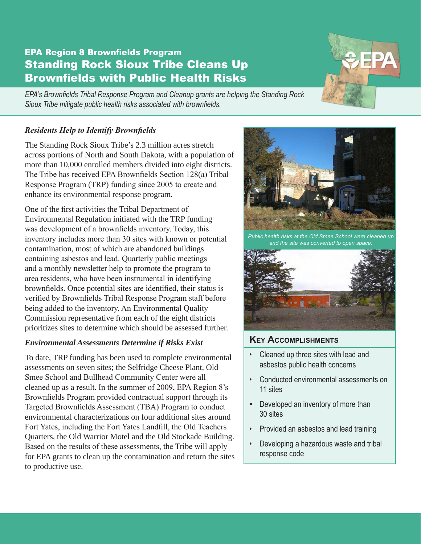# EPA Region 8 Brownfields Program Standing Rock Sioux Tribe Cleans Up Brownfields with Public Health Risks

*EPA's Brownfields Tribal Response Program and Cleanup grants are helping the Standing Rock Sioux Tribe mitigate public health risks associated with brownfields.*

## *Residents Help to Identify Brownfields*

The Standing Rock Sioux Tribe's 2.3 million acres stretch across portions of North and South Dakota, with a population of more than 10,000 enrolled members divided into eight districts. The Tribe has received EPA Brownfields Section 128(a) Tribal Response Program (TRP) funding since 2005 to create and enhance its environmental response program.

One of the first activities the Tribal Department of Environmental Regulation initiated with the TRP funding was development of a brownfields inventory. Today, this inventory includes more than 30 sites with known or potential contamination, most of which are abandoned buildings containing asbestos and lead. Quarterly public meetings and a monthly newsletter help to promote the program to area residents, who have been instrumental in identifying brownfields. Once potential sites are identified, their status is verified by Brownfields Tribal Response Program staff before being added to the inventory. An Environmental Quality Commission representative from each of the eight districts prioritizes sites to determine which should be assessed further.

## *Environmental Assessments Determine if Risks Exist*

To date, TRP funding has been used to complete environmental assessments on seven sites; the Selfridge Cheese Plant, Old Smee School and Bullhead Community Center were all cleaned up as a result. In the summer of 2009, EPA Region 8's Brownfields Program provided contractual support through its Targeted Brownfields Assessment (TBA) Program to conduct environmental characterizations on four additional sites around Fort Yates, including the Fort Yates Landfill, the Old Teachers Quarters, the Old Warrior Motel and the Old Stockade Building. Based on the results of these assessments, the Tribe will apply for EPA grants to clean up the contamination and return the sites to productive use.



*Public health risks at the Old Smee School were cleaned up and the site was converted to open space.*



# **Key Accomplishments**

- Cleaned up three sites with lead and asbestos public health concerns
- • Conducted environmental assessments on 11 sites
- Developed an inventory of more than 30 sites
- • Provided an asbestos and lead training
- • Developing a hazardous waste and tribal response code